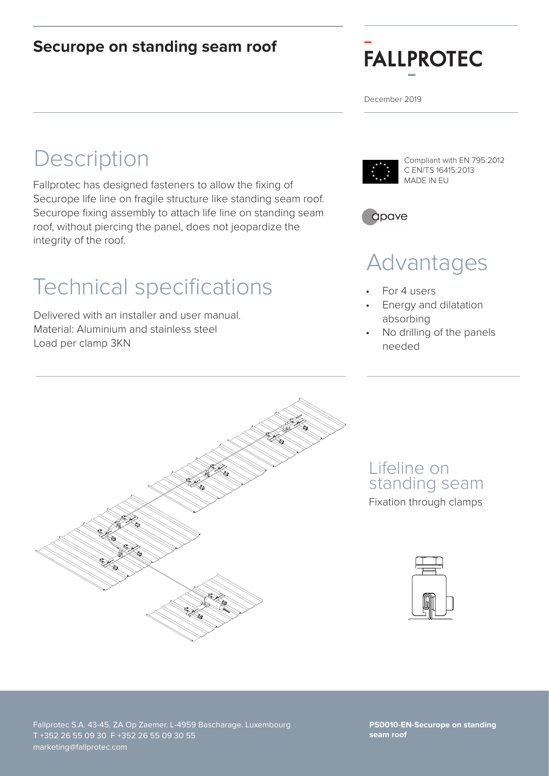#### **Securope on standing seam roof**



December 2019

## **Description**

Fallprotec has designed fasteners to allow the fixing of Securope life line on fragile structure like standing seam roof. Securope fixing assembly to attach life line on standing seam roof, without piercing the panel, does not jeopardize the integrity of the roof.

# Technical specifications • For 4 users

Delivered with an installer and user manual. Material: Aluminium and stainless steel Load per clamp 3KN



Compliant with EN 795:2012 C EN/TS 16415:2013 MADE IN EU



## Advantages

- 
- Energy and dilatation absorbing
- No drilling of the panels needed



Lifeline on standing seam Fixation through clamps



Fallprotec S.A. 43-45. ZA Op Zaemer. L-4959 Bascharage. Luxembourg T +352 26 55 09 30 F +352 26 55 09 30 55 marketing@fallprotec.com

**PS0010-EN-Securope on standing seam roof**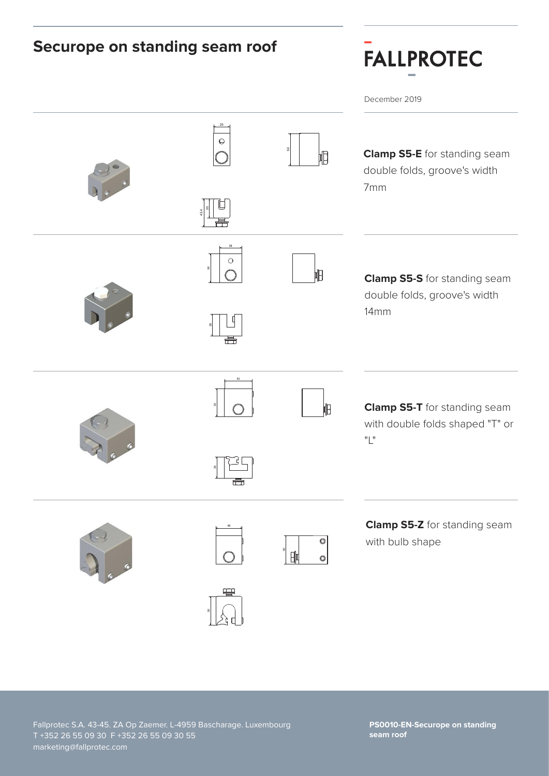#### **Securope on standing seam roof FALLPROTEC** December 2019 de la contradición de la contradición de la contradición de la contradición de la contradición de la contradición de la contradición de la contradición de la contradición de la contradición de la contradición de la contrad  $\Theta$ 8 **Clamp S5-E** for standing seam ID double folds, groove's width 7mm 8 43,4 B B D D 38 Dessiné par  $\bigcirc$ Approuvé par Date d'approbation Tolérances Gén.  $\mathbb H$  $\overline{A}$  and  $\overline{A}$  and  $\overline{A}$  and  $\overline{A}$  and  $\overline{A}$  and  $\overline{A}$  and  $\overline{A}$  and  $\overline{A}$  and  $\overline{A}$  and  $\overline{A}$  and  $\overline{A}$  and  $\overline{A}$  and  $\overline{A}$  and  $\overline{A}$  and  $\overline{A}$  and  $\overline{A}$  and  $\overline{A}$  and Clamp S5-S for standing seam 43-45, ZA Op Zaemer L-4959 Bascharage double folds, groove's width 14mm 38 B B 50 design and the contract of the contract of the contract of the contract of the contract of the contract of the 5 3 **Clamp S5-T** for standing seam 昍 with double folds shaped "T" or "L"  $\Box$ 38 Clip de Fixation Classe T **Clamp S5-Z** for standing seam  $\overline{\circ}$ with bulb shape ន 帥  $\circ$ B B

**PS0010-EN-Securope on standing seam roof**